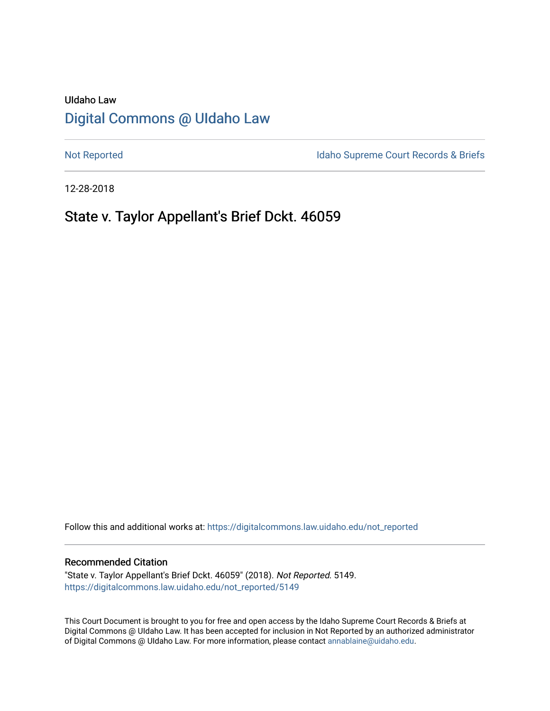# UIdaho Law [Digital Commons @ UIdaho Law](https://digitalcommons.law.uidaho.edu/)

[Not Reported](https://digitalcommons.law.uidaho.edu/not_reported) **Idaho Supreme Court Records & Briefs** 

12-28-2018

# State v. Taylor Appellant's Brief Dckt. 46059

Follow this and additional works at: [https://digitalcommons.law.uidaho.edu/not\\_reported](https://digitalcommons.law.uidaho.edu/not_reported?utm_source=digitalcommons.law.uidaho.edu%2Fnot_reported%2F5149&utm_medium=PDF&utm_campaign=PDFCoverPages) 

#### Recommended Citation

"State v. Taylor Appellant's Brief Dckt. 46059" (2018). Not Reported. 5149. [https://digitalcommons.law.uidaho.edu/not\\_reported/5149](https://digitalcommons.law.uidaho.edu/not_reported/5149?utm_source=digitalcommons.law.uidaho.edu%2Fnot_reported%2F5149&utm_medium=PDF&utm_campaign=PDFCoverPages)

This Court Document is brought to you for free and open access by the Idaho Supreme Court Records & Briefs at Digital Commons @ UIdaho Law. It has been accepted for inclusion in Not Reported by an authorized administrator of Digital Commons @ UIdaho Law. For more information, please contact [annablaine@uidaho.edu](mailto:annablaine@uidaho.edu).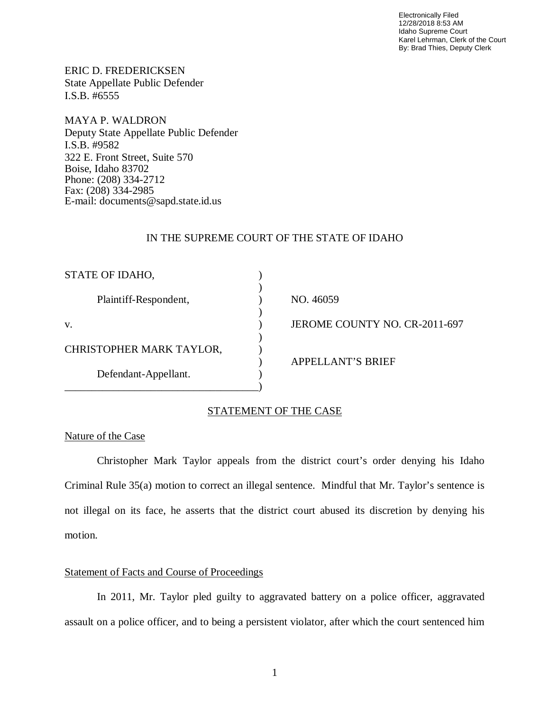Electronically Filed 12/28/2018 8:53 AM Idaho Supreme Court Karel Lehrman, Clerk of the Court By: Brad Thies, Deputy Clerk

ERIC D. FREDERICKSEN State Appellate Public Defender I.S.B. #6555

MAYA P. WALDRON Deputy State Appellate Public Defender I.S.B. #9582 322 E. Front Street, Suite 570 Boise, Idaho 83702 Phone: (208) 334-2712 Fax: (208) 334-2985 E-mail: documents@sapd.state.id.us

### IN THE SUPREME COURT OF THE STATE OF IDAHO

| STATE OF IDAHO,          |                               |
|--------------------------|-------------------------------|
| Plaintiff-Respondent,    | NO. 46059                     |
| V.                       | JEROME COUNTY NO. CR-2011-697 |
| CHRISTOPHER MARK TAYLOR, |                               |
| Defendant-Appellant.     | <b>APPELLANT'S BRIEF</b>      |
|                          |                               |

## STATEMENT OF THE CASE

### Nature of the Case

Christopher Mark Taylor appeals from the district court's order denying his Idaho Criminal Rule 35(a) motion to correct an illegal sentence. Mindful that Mr. Taylor's sentence is not illegal on its face, he asserts that the district court abused its discretion by denying his motion.

## Statement of Facts and Course of Proceedings

In 2011, Mr. Taylor pled guilty to aggravated battery on a police officer, aggravated assault on a police officer, and to being a persistent violator, after which the court sentenced him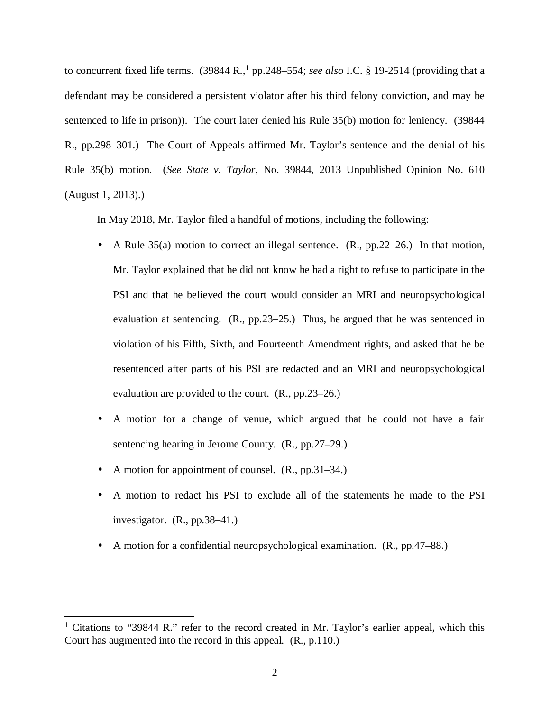to concurrent fixed life terms. (39844 R.,<sup>[1](#page-2-0)</sup> pp.248–554; *see also* I.C. § 19-2514 (providing that a defendant may be considered a persistent violator after his third felony conviction, and may be sentenced to life in prison)). The court later denied his Rule 35(b) motion for leniency. (39844 R., pp.298–301.) The Court of Appeals affirmed Mr. Taylor's sentence and the denial of his Rule 35(b) motion. (*See State v. Taylor*, No. 39844, 2013 Unpublished Opinion No. 610 (August 1, 2013).)

In May 2018, Mr. Taylor filed a handful of motions, including the following:

- A Rule 35(a) motion to correct an illegal sentence. (R., pp.22–26.) In that motion, Mr. Taylor explained that he did not know he had a right to refuse to participate in the PSI and that he believed the court would consider an MRI and neuropsychological evaluation at sentencing. (R., pp.23–25.) Thus, he argued that he was sentenced in violation of his Fifth, Sixth, and Fourteenth Amendment rights, and asked that he be resentenced after parts of his PSI are redacted and an MRI and neuropsychological evaluation are provided to the court. (R., pp.23–26.)
- A motion for a change of venue, which argued that he could not have a fair t, sentencing hearing in Jerome County. (R., pp.27–29.)
- A motion for appointment of counsel. (R., pp.31–34.)  $\blacksquare$
- A motion to redact his PSI to exclude all of the statements he made to the PSI ä, investigator. (R., pp.38–41.)
- A motion for a confidential neuropsychological examination. (R., pp.47–88.) ä,

<span id="page-2-0"></span><sup>&</sup>lt;sup>1</sup> Citations to "39844 R." refer to the record created in Mr. Taylor's earlier appeal, which this Court has augmented into the record in this appeal. (R., p.110.)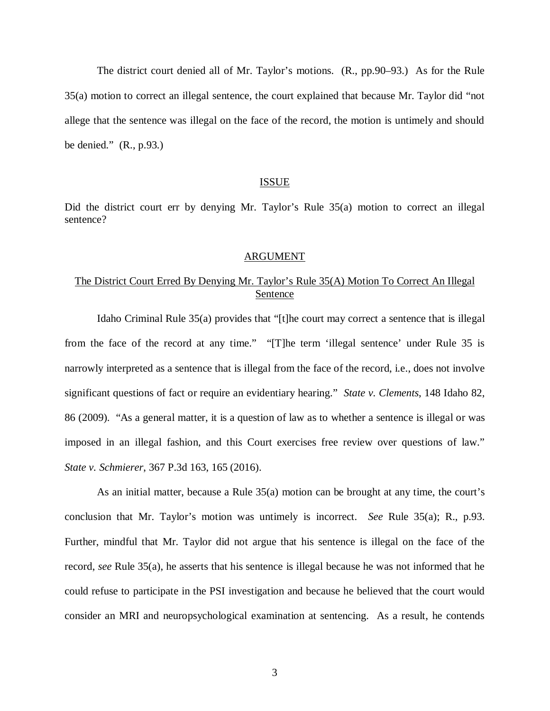The district court denied all of Mr. Taylor's motions. (R., pp.90–93.) As for the Rule 35(a) motion to correct an illegal sentence, the court explained that because Mr. Taylor did "not allege that the sentence was illegal on the face of the record, the motion is untimely and should be denied." (R., p.93.)

#### ISSUE

Did the district court err by denying Mr. Taylor's Rule 35(a) motion to correct an illegal sentence?

#### ARGUMENT

## The District Court Erred By Denying Mr. Taylor's Rule 35(A) Motion To Correct An Illegal Sentence

Idaho Criminal Rule 35(a) provides that "[t]he court may correct a sentence that is illegal from the face of the record at any time." "[T]he term 'illegal sentence' under Rule 35 is narrowly interpreted as a sentence that is illegal from the face of the record, i.e., does not involve significant questions of fact or require an evidentiary hearing." *State v. Clements*, 148 Idaho 82, 86 (2009). "As a general matter, it is a question of law as to whether a sentence is illegal or was imposed in an illegal fashion, and this Court exercises free review over questions of law." *State v. Schmierer*, 367 P.3d 163, 165 (2016).

As an initial matter, because a Rule 35(a) motion can be brought at any time, the court's conclusion that Mr. Taylor's motion was untimely is incorrect. *See* Rule 35(a); R., p.93. Further, mindful that Mr. Taylor did not argue that his sentence is illegal on the face of the record, *see* Rule 35(a), he asserts that his sentence is illegal because he was not informed that he could refuse to participate in the PSI investigation and because he believed that the court would consider an MRI and neuropsychological examination at sentencing. As a result, he contends